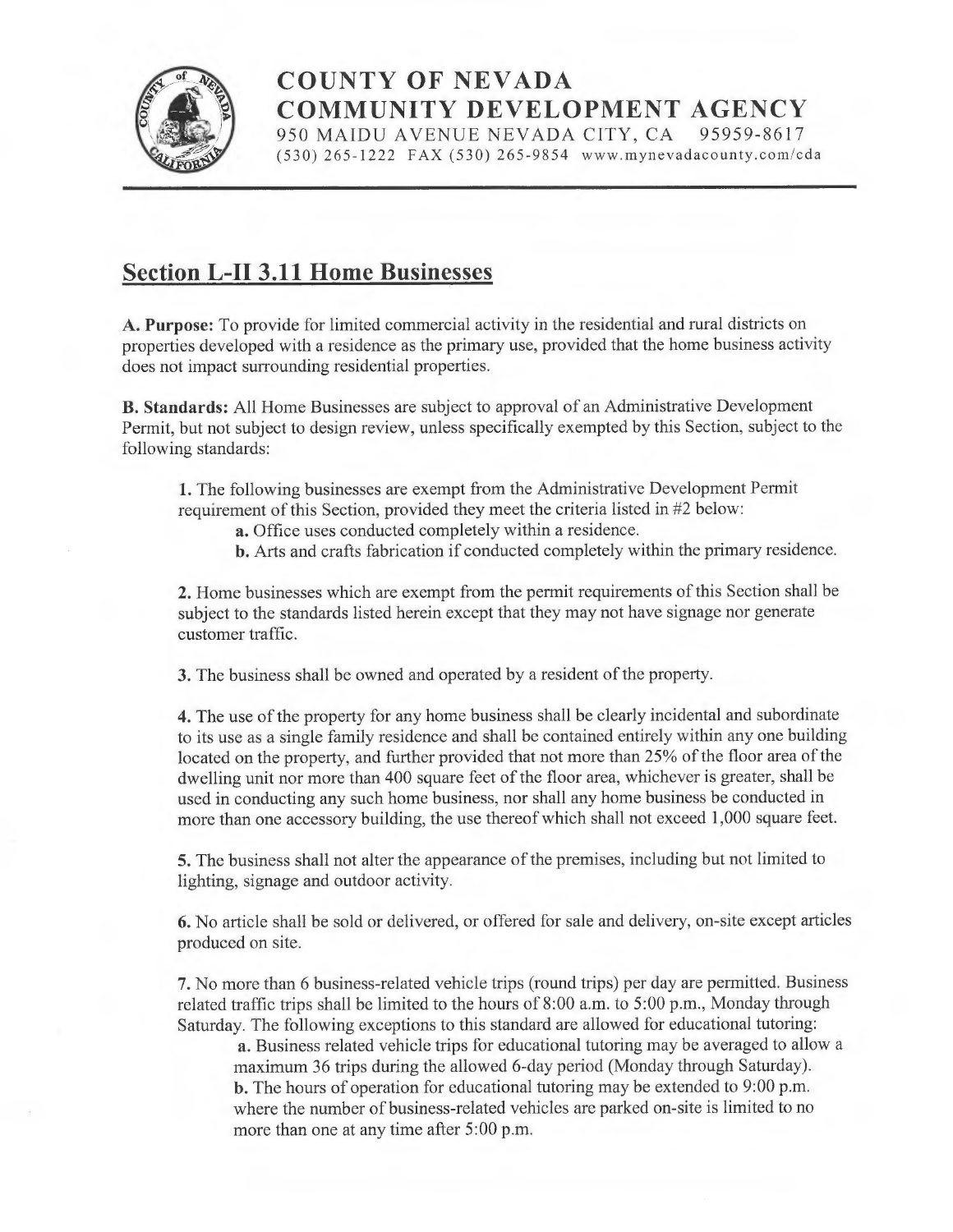

COUNTY OF NEVADA **COMMUNITY DEVELOPMENT AGENCY** 950 MAIDU AVENUE NEVADA CITY, CA 95959-8617 950 MAIDU AVENUE NEVADA CITY, CA

(530) 265-1222 FAX (530) 265-9854 www.mynevadacounty.com/cda

## Section L-II 3.11 Home Businesses

A. Purpose: To provide for limited commercial activity in the residential and rural districts on properties developed with a residence as the primary use, provided that the home business activity does not impact surrounding residential properties.

B. Standards: All Home Businesses are subject to approval of an Administrative Development Permit, but not subject to design review, unless specifically exempted by this Section, subject to the following standards:

1. The following businesses are exempt from the Administrative Development Permit requirement of this Section, provided they meet the criteria listed in #2 below:

- a. Office uses conducted completely within a residence.
- b. Arts and crafts fabrication if conducted completely within the primary residence.

2. Home businesses which are exempt from the permit requirements of this Section shall be subject to the standards listed herein except that they may not have signage nor generate customer traffic.

3. The business shall be owned and operated by a resident of the property.

4. The use of the property for any home business shall be clearly incidental and subordinate to its use as <sup>a</sup>single family residence and shall be contained entirely within any one building located on the property, and further provided that not more than 25% of the floor area of the dwelling unit nor more than 400 square feet of the floor area, whichever is greater, shall be used in conducting any such home business, nor shall any home business be conducted in more than one accessory building, the use thereof which shall not exceed 1,000 square feet.

5. The business shall not alter the appearance of the premises, including but not limited to lighting, signage and outdoor activity.

6. No article shall be sold or delivered, or offered for sale and delivery, on-site except articles produced on site.

7. No more than 6 business-related vehicle trips (round trips) per day are permitted. Business related traffic trips shall be limited to the hours of 8:00 a.m. to 5:00 p.m., Monday through Saturday. The following exceptions to this standard are allowed for educational tutoring:

a. Business related vehicle trips for educational tutoring may be averaged to allow <sup>a</sup> maximum 36 trips during the allowed 6-day period (Monday through Saturday). b. The hours of operation for educational tutoring maybe extended to 9:00 p.m. where the number of business-related vehicles are parked on-site is limited to no more than one at any time after 5:00 p.m.